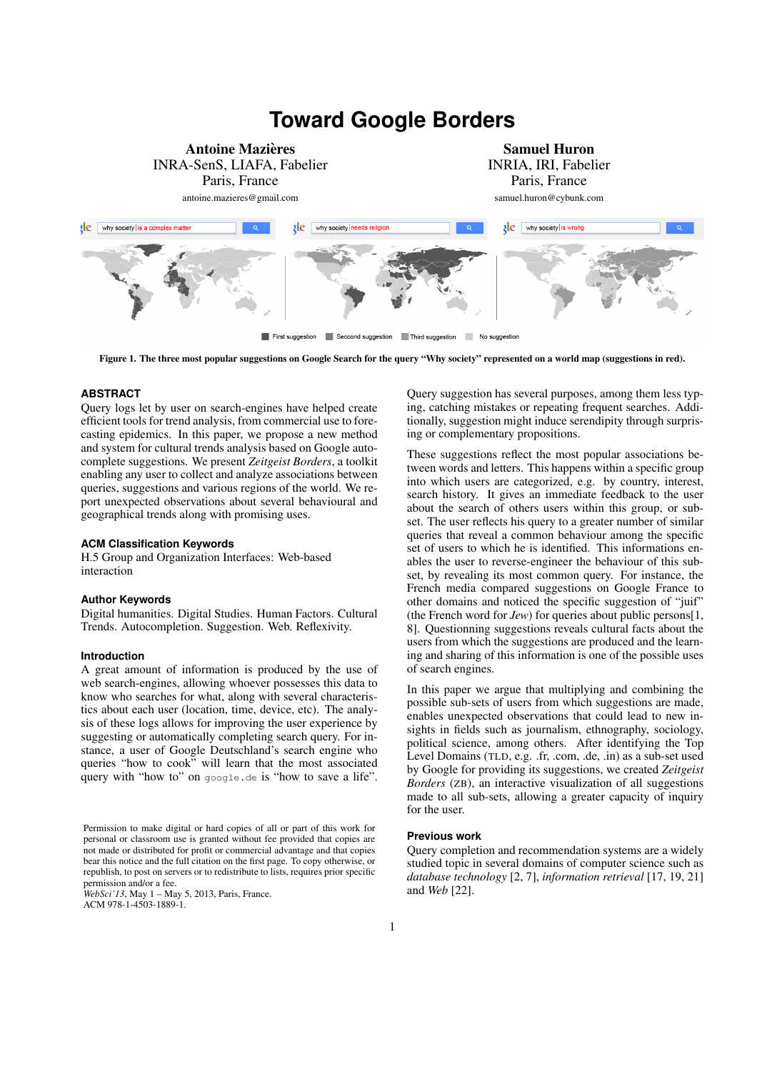

First suggestion Seccond suggestion Third suggestion No suggestion

Figure 1. The three most popular suggestions on Google Search for the query "Why society" represented on a world map (suggestions in red).

# **ABSTRACT**

Query logs let by user on search-engines have helped create efficient tools for trend analysis, from commercial use to forecasting epidemics. In this paper, we propose a new method and system for cultural trends analysis based on Google autocomplete suggestions. We present *Zeitgeist Borders*, a toolkit enabling any user to collect and analyze associations between queries, suggestions and various regions of the world. We report unexpected observations about several behavioural and geographical trends along with promising uses.

# **ACM Classification Keywords**

H.5 Group and Organization Interfaces: Web-based interaction

# **Author Keywords**

Digital humanities. Digital Studies. Human Factors. Cultural Trends. Autocompletion. Suggestion. Web. Reflexivity.

# **Introduction**

A great amount of information is produced by the use of web search-engines, allowing whoever possesses this data to know who searches for what, along with several characteristics about each user (location, time, device, etc). The analysis of these logs allows for improving the user experience by suggesting or automatically completing search query. For instance, a user of Google Deutschland's search engine who queries "how to cook" will learn that the most associated query with "how to" on google.de is "how to save a life".

*WebSci'13*, May 1 – May 5, 2013, Paris, France.

ACM 978-1-4503-1889-1.

Query suggestion has several purposes, among them less typing, catching mistakes or repeating frequent searches. Additionally, suggestion might induce serendipity through surprising or complementary propositions.

These suggestions reflect the most popular associations between words and letters. This happens within a specific group into which users are categorized, e.g. by country, interest, search history. It gives an immediate feedback to the user about the search of others users within this group, or subset. The user reflects his query to a greater number of similar queries that reveal a common behaviour among the specific set of users to which he is identified. This informations enables the user to reverse-engineer the behaviour of this subset, by revealing its most common query. For instance, the French media compared suggestions on Google France to other domains and noticed the specific suggestion of "juif" (the French word for *Jew*) for queries about public persons[1, 8]. Questionning suggestions reveals cultural facts about the users from which the suggestions are produced and the learning and sharing of this information is one of the possible uses of search engines.

In this paper we argue that multiplying and combining the possible sub-sets of users from which suggestions are made, enables unexpected observations that could lead to new insights in fields such as journalism, ethnography, sociology, political science, among others. After identifying the Top Level Domains (TLD, e.g. .fr, .com, .de, .in) as a sub-set used by Google for providing its suggestions, we created *Zeitgeist Borders* (ZB), an interactive visualization of all suggestions made to all sub-sets, allowing a greater capacity of inquiry for the user.

# **Previous work**

Query completion and recommendation systems are a widely studied topic in several domains of computer science such as *database technology* [2, 7], *information retrieval* [17, 19, 21] and *Web* [22].

Permission to make digital or hard copies of all or part of this work for personal or classroom use is granted without fee provided that copies are not made or distributed for profit or commercial advantage and that copies bear this notice and the full citation on the first page. To copy otherwise, or republish, to post on servers or to redistribute to lists, requires prior specific permission and/or a fee.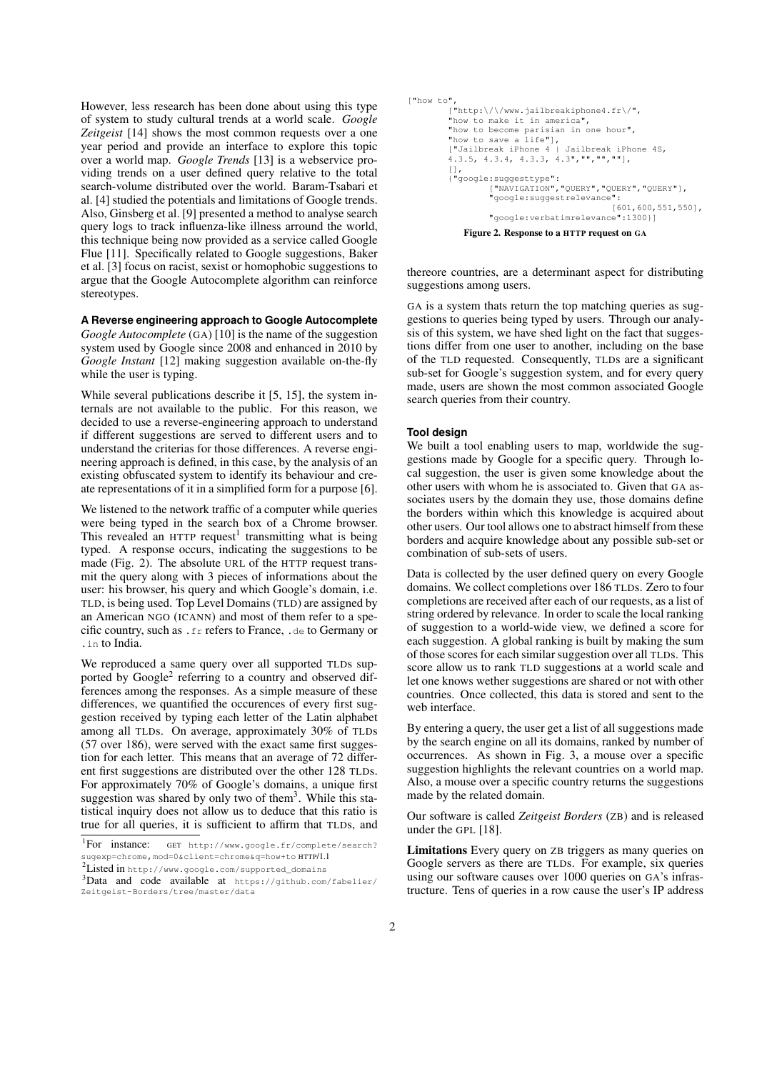However, less research has been done about using this type of system to study cultural trends at a world scale. *Google Zeitgeist* [14] shows the most common requests over a one year period and provide an interface to explore this topic over a world map. *Google Trends* [13] is a webservice providing trends on a user defined query relative to the total search-volume distributed over the world. Baram-Tsabari et al. [4] studied the potentials and limitations of Google trends. Also, Ginsberg et al. [9] presented a method to analyse search query logs to track influenza-like illness arround the world, this technique being now provided as a service called Google Flue [11]. Specifically related to Google suggestions, Baker et al. [3] focus on racist, sexist or homophobic suggestions to argue that the Google Autocomplete algorithm can reinforce stereotypes.

## **A Reverse engineering approach to Google Autocomplete**

*Google Autocomplete* (GA) [10] is the name of the suggestion system used by Google since 2008 and enhanced in 2010 by *Google Instant* [12] making suggestion available on-the-fly while the user is typing.

While several publications describe it [5, 15], the system internals are not available to the public. For this reason, we decided to use a reverse-engineering approach to understand if different suggestions are served to different users and to understand the criterias for those differences. A reverse engineering approach is defined, in this case, by the analysis of an existing obfuscated system to identify its behaviour and create representations of it in a simplified form for a purpose [6].

We listened to the network traffic of a computer while queries were being typed in the search box of a Chrome browser. This revealed an HTTP request<sup>1</sup> transmitting what is being typed. A response occurs, indicating the suggestions to be made (Fig. 2). The absolute URL of the HTTP request transmit the query along with 3 pieces of informations about the user: his browser, his query and which Google's domain, i.e. TLD, is being used. Top Level Domains (TLD) are assigned by an American NGO (ICANN) and most of them refer to a specific country, such as .fr refers to France, .de to Germany or .in to India.

We reproduced a same query over all supported TLDs supported by Google<sup>2</sup> referring to a country and observed differences among the responses. As a simple measure of these differences, we quantified the occurences of every first suggestion received by typing each letter of the Latin alphabet among all TLDs. On average, approximately 30% of TLDs (57 over 186), were served with the exact same first suggestion for each letter. This means that an average of 72 different first suggestions are distributed over the other 128 TLDs. For approximately 70% of Google's domains, a unique first suggestion was shared by only two of them<sup>3</sup>. While this statistical inquiry does not allow us to deduce that this ratio is true for all queries, it is sufficient to affirm that TLDs, and

```
["how to",
          ["http:\setminus/\setminus/www.jailbreakiphone4.fr\setminus",
          "how to make it in america",
           "how to become parisian in one hour",
"how to save a life"],
["Jailbreak iPhone 4 | Jailbreak iPhone 4S,
          4.3.5, 4.3.4, 4.3.3, 4.3","","",""],
           [],
{"google:suggesttype":
["NAVIGATION","QUERY","QUERY","QUERY"],
                     "google:suggestrelevance":
                                                     [601,600,551,550],
                     "google:verbatimrelevance":1300}]
              Figure 2. Response to a HTTP request on GA
```
thereore countries, are a determinant aspect for distributing suggestions among users.

GA is a system thats return the top matching queries as suggestions to queries being typed by users. Through our analysis of this system, we have shed light on the fact that suggestions differ from one user to another, including on the base of the TLD requested. Consequently, TLDs are a significant sub-set for Google's suggestion system, and for every query made, users are shown the most common associated Google search queries from their country.

# **Tool design**

We built a tool enabling users to map, worldwide the suggestions made by Google for a specific query. Through local suggestion, the user is given some knowledge about the other users with whom he is associated to. Given that GA associates users by the domain they use, those domains define the borders within which this knowledge is acquired about other users. Our tool allows one to abstract himself from these borders and acquire knowledge about any possible sub-set or combination of sub-sets of users.

Data is collected by the user defined query on every Google domains. We collect completions over 186 TLDs. Zero to four completions are received after each of our requests, as a list of string ordered by relevance. In order to scale the local ranking of suggestion to a world-wide view, we defined a score for each suggestion. A global ranking is built by making the sum of those scores for each similar suggestion over all TLDs. This score allow us to rank TLD suggestions at a world scale and let one knows wether suggestions are shared or not with other countries. Once collected, this data is stored and sent to the web interface.

By entering a query, the user get a list of all suggestions made by the search engine on all its domains, ranked by number of occurrences. As shown in Fig. 3, a mouse over a specific suggestion highlights the relevant countries on a world map. Also, a mouse over a specific country returns the suggestions made by the related domain.

Our software is called *Zeitgeist Borders* (ZB) and is released under the GPL [18].

Limitations Every query on ZB triggers as many queries on Google servers as there are TLDs. For example, six queries using our software causes over 1000 queries on GA's infrastructure. Tens of queries in a row cause the user's IP address

 ${}^{1}$ For instance: GET http://www.google.fr/complete/search? sugexp=chrome,mod=0&client=chrome&q=how+to HTTP/1.1

 ${}^{2}$ Listed in http://www.google.com/supported\_domains  ${}^{3}$ Data and code available at https://github.com

Data and code available at https://github.com/fabelier/ Zeitgeist-Borders/tree/master/data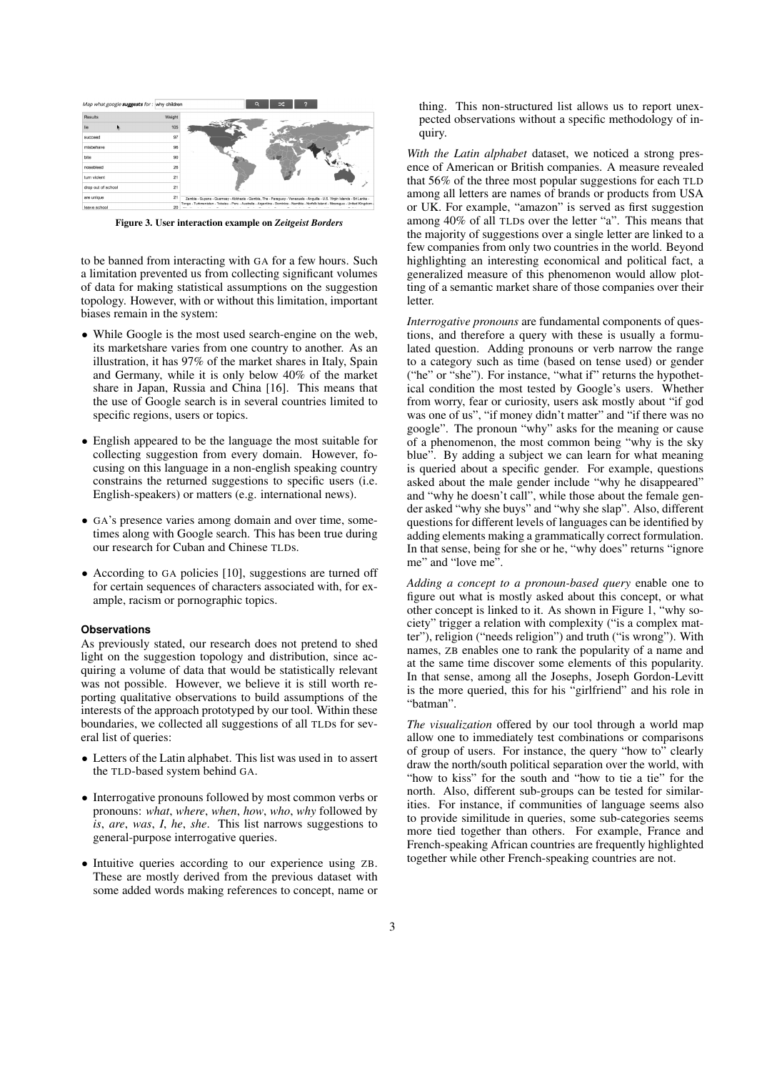

Figure 3. User interaction example on *Zeitgeist Borders*

to be banned from interacting with GA for a few hours. Such a limitation prevented us from collecting significant volumes of data for making statistical assumptions on the suggestion topology. However, with or without this limitation, important biases remain in the system:

- While Google is the most used search-engine on the web, its marketshare varies from one country to another. As an illustration, it has 97% of the market shares in Italy, Spain and Germany, while it is only below 40% of the market share in Japan, Russia and China [16]. This means that the use of Google search is in several countries limited to specific regions, users or topics.
- *•* English appeared to be the language the most suitable for collecting suggestion from every domain. However, focusing on this language in a non-english speaking country constrains the returned suggestions to specific users (i.e. English-speakers) or matters (e.g. international news).
- *•* GA's presence varies among domain and over time, sometimes along with Google search. This has been true during our research for Cuban and Chinese TLDs.
- According to GA policies [10], suggestions are turned off for certain sequences of characters associated with, for example, racism or pornographic topics.

### **Observations**

As previously stated, our research does not pretend to shed light on the suggestion topology and distribution, since acquiring a volume of data that would be statistically relevant was not possible. However, we believe it is still worth reporting qualitative observations to build assumptions of the interests of the approach prototyped by our tool. Within these boundaries, we collected all suggestions of all TLDs for several list of queries:

- *•* Letters of the Latin alphabet. This list was used in to assert the TLD-based system behind GA.
- Interrogative pronouns followed by most common verbs or pronouns: *what*, *where*, *when*, *how*, *who*, *why* followed by *is*, *are*, *was*, *I*, *he*, *she*. This list narrows suggestions to general-purpose interrogative queries.
- *•* Intuitive queries according to our experience using ZB. These are mostly derived from the previous dataset with some added words making references to concept, name or

thing. This non-structured list allows us to report unexpected observations without a specific methodology of inquiry.

*With the Latin alphabet* dataset, we noticed a strong presence of American or British companies. A measure revealed that 56% of the three most popular suggestions for each TLD among all letters are names of brands or products from USA or UK. For example, "amazon" is served as first suggestion among 40% of all TLDs over the letter "a". This means that the majority of suggestions over a single letter are linked to a few companies from only two countries in the world. Beyond highlighting an interesting economical and political fact, a generalized measure of this phenomenon would allow plotting of a semantic market share of those companies over their letter.

*Interrogative pronouns* are fundamental components of questions, and therefore a query with these is usually a formulated question. Adding pronouns or verb narrow the range to a category such as time (based on tense used) or gender ("he" or "she"). For instance, "what if" returns the hypothetical condition the most tested by Google's users. Whether from worry, fear or curiosity, users ask mostly about "if god was one of us", "if money didn't matter" and "if there was no google". The pronoun "why" asks for the meaning or cause of a phenomenon, the most common being "why is the sky blue". By adding a subject we can learn for what meaning is queried about a specific gender. For example, questions asked about the male gender include "why he disappeared" and "why he doesn't call", while those about the female gender asked "why she buys" and "why she slap". Also, different questions for different levels of languages can be identified by adding elements making a grammatically correct formulation. In that sense, being for she or he, "why does" returns "ignore me" and "love me".

*Adding a concept to a pronoun-based query* enable one to figure out what is mostly asked about this concept, or what other concept is linked to it. As shown in Figure 1, "why society" trigger a relation with complexity ("is a complex matter"), religion ("needs religion") and truth ("is wrong"). With names, ZB enables one to rank the popularity of a name and at the same time discover some elements of this popularity. In that sense, among all the Josephs, Joseph Gordon-Levitt is the more queried, this for his "girlfriend" and his role in "batman".

*The visualization* offered by our tool through a world map allow one to immediately test combinations or comparisons of group of users. For instance, the query "how to" clearly draw the north/south political separation over the world, with "how to kiss" for the south and "how to tie a tie" for the north. Also, different sub-groups can be tested for similarities. For instance, if communities of language seems also to provide similitude in queries, some sub-categories seems more tied together than others. For example, France and French-speaking African countries are frequently highlighted together while other French-speaking countries are not.